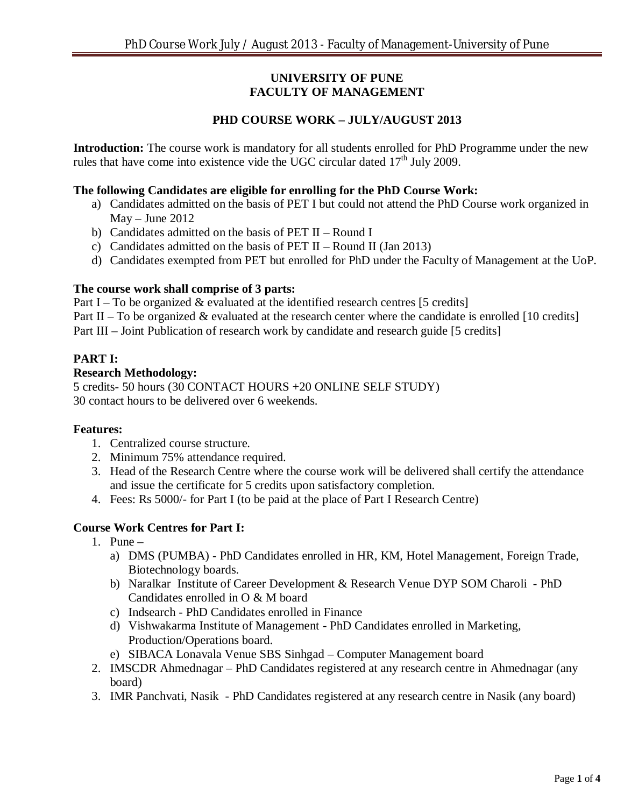# **UNIVERSITY OF PUNE FACULTY OF MANAGEMENT**

# **PHD COURSE WORK – JULY/AUGUST 2013**

**Introduction:** The course work is mandatory for all students enrolled for PhD Programme under the new rules that have come into existence vide the UGC circular dated  $17<sup>th</sup>$  July 2009.

# **The following Candidates are eligible for enrolling for the PhD Course Work:**

- a) Candidates admitted on the basis of PET I but could not attend the PhD Course work organized in May – June 2012
- b) Candidates admitted on the basis of PET II Round I
- c) Candidates admitted on the basis of PET II Round II (Jan 2013)
- d) Candidates exempted from PET but enrolled for PhD under the Faculty of Management at the UoP.

# **The course work shall comprise of 3 parts:**

Part I – To be organized  $&$  evaluated at the identified research centres [5 credits]

Part II – To be organized  $\&$  evaluated at the research center where the candidate is enrolled [10 credits]

Part III – Joint Publication of research work by candidate and research guide [5 credits]

# **PART I:**

### **Research Methodology:**

5 credits- 50 hours (30 CONTACT HOURS +20 ONLINE SELF STUDY) 30 contact hours to be delivered over 6 weekends.

# **Features:**

- 1. Centralized course structure.
- 2. Minimum 75% attendance required.
- 3. Head of the Research Centre where the course work will be delivered shall certify the attendance and issue the certificate for 5 credits upon satisfactory completion.
- 4. Fees: Rs 5000/- for Part I (to be paid at the place of Part I Research Centre)

# **Course Work Centres for Part I:**

- 1. Pune
	- a) DMS (PUMBA) PhD Candidates enrolled in HR, KM, Hotel Management, Foreign Trade, Biotechnology boards.
	- b) Naralkar Institute of Career Development & Research Venue DYP SOM Charoli PhD Candidates enrolled in O & M board
	- c) Indsearch PhD Candidates enrolled in Finance
	- d) Vishwakarma Institute of Management PhD Candidates enrolled in Marketing, Production/Operations board.
	- e) SIBACA Lonavala Venue SBS Sinhgad Computer Management board
- 2. IMSCDR Ahmednagar PhD Candidates registered at any research centre in Ahmednagar (any board)
- 3. IMR Panchvati, Nasik PhD Candidates registered at any research centre in Nasik (any board)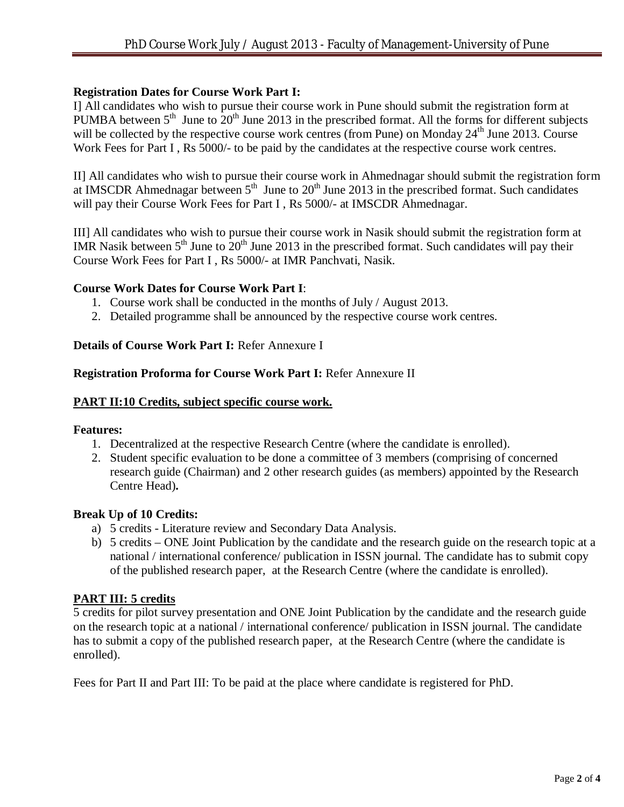### **Registration Dates for Course Work Part I:**

I] All candidates who wish to pursue their course work in Pune should submit the registration form at PUMBA between  $5<sup>th</sup>$  June to  $20<sup>th</sup>$  June 2013 in the prescribed format. All the forms for different subjects will be collected by the respective course work centres (from Pune) on Monday  $24<sup>th</sup>$  June 2013. Course Work Fees for Part I, Rs 5000/- to be paid by the candidates at the respective course work centres.

II] All candidates who wish to pursue their course work in Ahmednagar should submit the registration form at IMSCDR Ahmednagar between  $5<sup>th</sup>$  June to  $20<sup>th</sup>$  June 2013 in the prescribed format. Such candidates will pay their Course Work Fees for Part I, Rs 5000/- at IMSCDR Ahmednagar.

III] All candidates who wish to pursue their course work in Nasik should submit the registration form at IMR Nasik between  $5<sup>th</sup>$  June to  $20<sup>th</sup>$  June 2013 in the prescribed format. Such candidates will pay their Course Work Fees for Part I , Rs 5000/- at IMR Panchvati, Nasik.

### **Course Work Dates for Course Work Part I**:

- 1. Course work shall be conducted in the months of July / August 2013.
- 2. Detailed programme shall be announced by the respective course work centres.

### **Details of Course Work Part I:** Refer Annexure I

#### **Registration Proforma for Course Work Part I:** Refer Annexure II

#### **PART II:10 Credits, subject specific course work.**

#### **Features:**

- 1. Decentralized at the respective Research Centre (where the candidate is enrolled).
- 2. Student specific evaluation to be done a committee of 3 members (comprising of concerned research guide (Chairman) and 2 other research guides (as members) appointed by the Research Centre Head)**.**

#### **Break Up of 10 Credits:**

- a) 5 credits Literature review and Secondary Data Analysis.
- b) 5 credits ONE Joint Publication by the candidate and the research guide on the research topic at a national / international conference/ publication in ISSN journal. The candidate has to submit copy of the published research paper, at the Research Centre (where the candidate is enrolled).

# **PART III: 5 credits**

5 credits for pilot survey presentation and ONE Joint Publication by the candidate and the research guide on the research topic at a national / international conference/ publication in ISSN journal. The candidate has to submit a copy of the published research paper, at the Research Centre (where the candidate is enrolled).

Fees for Part II and Part III: To be paid at the place where candidate is registered for PhD.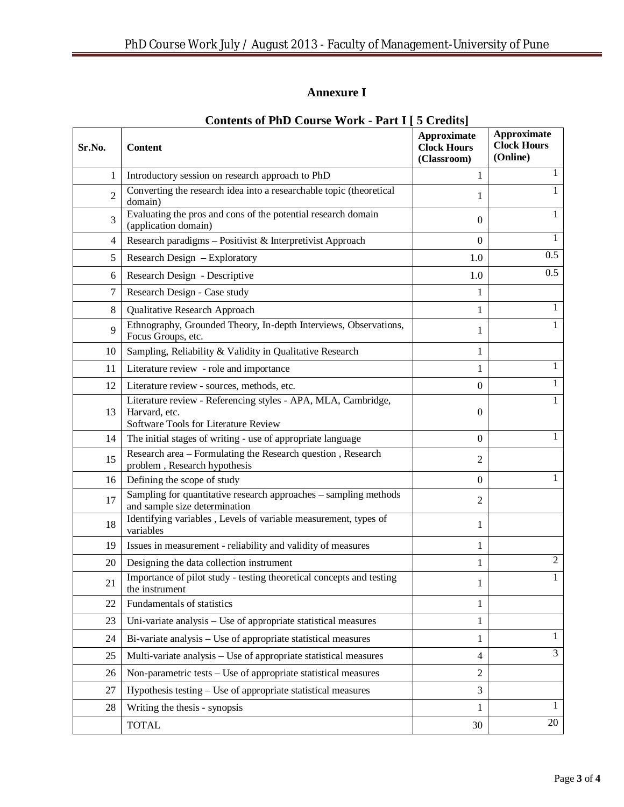# **Annexure I**

| Sr.No.         | meents of Filip Coulse Work<br>$1$ ult $1$<br><b>Content</b>                                                           | $\sim$ $\sim$ $\sim$ $\sim$ $\sim$<br>Approximate<br><b>Clock Hours</b><br>(Classroom) | <b>Approximate</b><br><b>Clock Hours</b><br>(Online) |
|----------------|------------------------------------------------------------------------------------------------------------------------|----------------------------------------------------------------------------------------|------------------------------------------------------|
| 1              | Introductory session on research approach to PhD                                                                       | 1                                                                                      | 1                                                    |
| $\overline{2}$ | Converting the research idea into a researchable topic (theoretical<br>domain)                                         | 1                                                                                      |                                                      |
| 3              | Evaluating the pros and cons of the potential research domain<br>(application domain)                                  | $\mathbf{0}$                                                                           | 1                                                    |
| 4              | Research paradigms - Positivist & Interpretivist Approach                                                              | $\Omega$                                                                               | 1                                                    |
| 5              | Research Design – Exploratory                                                                                          | 1.0                                                                                    | 0.5                                                  |
| 6              | Research Design - Descriptive                                                                                          | 1.0                                                                                    | 0.5                                                  |
| 7              | Research Design - Case study                                                                                           | 1                                                                                      |                                                      |
| 8              | Qualitative Research Approach                                                                                          | 1                                                                                      | 1                                                    |
| 9              | Ethnography, Grounded Theory, In-depth Interviews, Observations,<br>Focus Groups, etc.                                 | 1                                                                                      |                                                      |
| 10             | Sampling, Reliability & Validity in Qualitative Research                                                               | 1                                                                                      |                                                      |
| 11             | Literature review - role and importance                                                                                | 1                                                                                      | 1                                                    |
| 12             | Literature review - sources, methods, etc.                                                                             | $\overline{0}$                                                                         | 1                                                    |
| 13             | Literature review - Referencing styles - APA, MLA, Cambridge,<br>Harvard, etc.<br>Software Tools for Literature Review | $\Omega$                                                                               | 1                                                    |
| 14             | The initial stages of writing - use of appropriate language                                                            | $\mathbf{0}$                                                                           |                                                      |
| 15             | Research area - Formulating the Research question, Research<br>problem, Research hypothesis                            | 2                                                                                      |                                                      |
| 16             | Defining the scope of study                                                                                            | $\mathbf{0}$                                                                           | 1                                                    |
| 17             | Sampling for quantitative research approaches - sampling methods<br>and sample size determination                      | $\overline{2}$                                                                         |                                                      |
| 18             | Identifying variables, Levels of variable measurement, types of<br>variables                                           | 1                                                                                      |                                                      |
| 19             | Issues in measurement - reliability and validity of measures                                                           | 1                                                                                      |                                                      |
| 20             | Designing the data collection instrument                                                                               | 1                                                                                      | $\mathfrak{2}$                                       |
| 21             | Importance of pilot study - testing theoretical concepts and testing<br>the instrument                                 | 1                                                                                      |                                                      |
| 22             | Fundamentals of statistics                                                                                             | 1                                                                                      |                                                      |
| 23             | Uni-variate analysis - Use of appropriate statistical measures                                                         | 1                                                                                      |                                                      |
| 24             | Bi-variate analysis – Use of appropriate statistical measures                                                          | 1                                                                                      | 1                                                    |
| 25             | Multi-variate analysis – Use of appropriate statistical measures                                                       | $\overline{4}$                                                                         | $\overline{3}$                                       |
| 26             | Non-parametric tests - Use of appropriate statistical measures                                                         | $\overline{2}$                                                                         |                                                      |
| 27             | Hypothesis testing - Use of appropriate statistical measures                                                           | 3                                                                                      |                                                      |
| 28             | Writing the thesis - synopsis                                                                                          | 1                                                                                      | 1                                                    |
|                | <b>TOTAL</b>                                                                                                           | 30                                                                                     | 20                                                   |

# **Contents of PhD Course Work - Part I [ 5 Credits]**